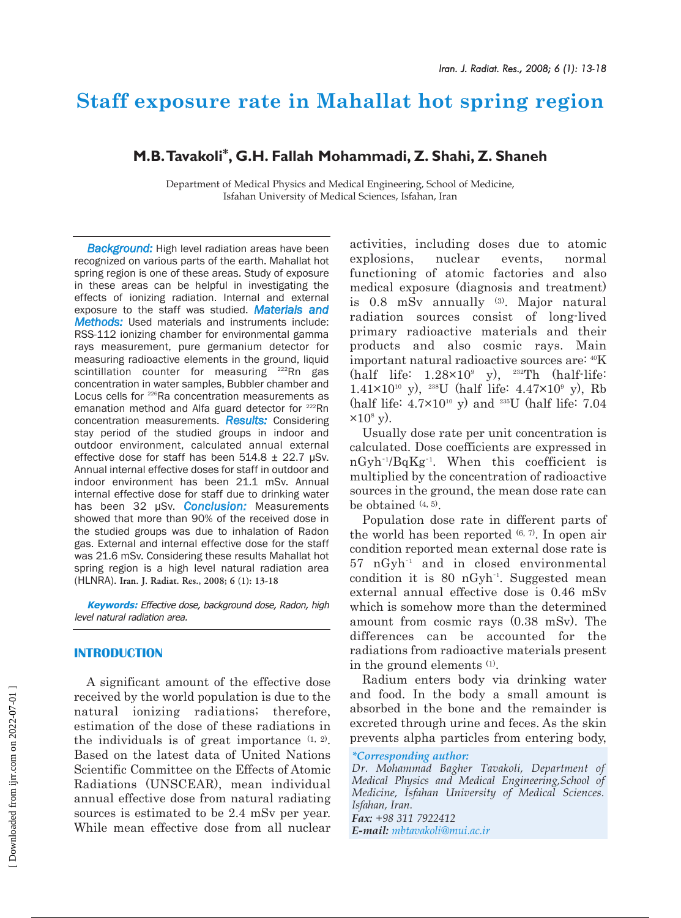# **Staff exposure rate in Mahallat hot spring region**

# **M.B.Tavakoli\*, G.H. Fallah Mohammadi, Z. Shahi, Z. Shaneh**

Department of Medical Physics and Medical Engineering, School of Medicine, Isfahan University of Medical Sciences, Isfahan, Iran

*Background:* High level radiation areas have been recognized on various parts of the earth. Mahallat hot spring region is one of these areas. Study of exposure in these areas can be helpful in investigating the effects of ionizing radiation. Internal and external exposure to the staff was studied. *Materials and Methods:* Used materials and instruments include: RSS-112 ionizing chamber for environmental gamma rays measurement, pure germanium detector for measuring radioactive elements in the ground, liquid scintillation counter for measuring <sup>222</sup>Rn gas concentration in water samples, Bubbler chamber and Locus cells for <sup>226</sup>Ra concentration measurements as emanation method and Alfa guard detector for <sup>222</sup>Rn concentration measurements. *Results:* Considering stay period of the studied groups in indoor and outdoor environment, calculated annual external effective dose for staff has been  $514.8 \pm 22.7$  µSv. Annual internal effective doses for staff in outdoor and indoor environment has been 21.1 mSv. Annual internal effective dose for staff due to drinking water has been 32 µSv. *Conclusion:* Measurements showed that more than 90% of the received dose in the studied groups was due to inhalation of Radon gas. External and internal effective dose for the staff was 21.6 mSv. Considering these results Mahallat hot spring region is a high level natural radiation area (HLNRA). **Iran. J. Radiat. Res., 2008; 6 (1): 13-18**

**Keywords:** Effective dose, background dose, Radon, high level natural radiation area.

## **INTRODUCTION**

A significant amount of the effective dose received by the world population is due to the natural ionizing radiations; therefore, estimation of the dose of these radiations in the individuals is of great importance  $(1, 2)$ . Based on the latest data of United Nations Scientific Committee on the Effects of Atomic Radiations (UNSCEAR), mean individual annual effective dose from natural radiating sources is estimated to be 2.4 mSv per year. While mean effective dose from all nuclear

activities, including doses due to atomic explosions, nuclear events, normal functioning of atomic factories and also medical exposure (diagnosis and treatment) is 0.8 mSv annually (3). Major natural radiation sources consist of long-lived primary radioactive materials and their products and also cosmic rays. Main important natural radioactive sources are: 40K (half life:  $1.28 \times 10^9$  y),  $232$ Th (half-life:  $1.41\times10^{10}$  y), <sup>238</sup>U (half life:  $4.47\times10^{9}$  y), Rb (half life:  $4.7 \times 10^{10}$  y) and <sup>235</sup>U (half life:  $7.04$  $\times 10^8$  y).

Usually dose rate per unit concentration is calculated. Dose coefficients are expressed in nGyh-1 /BqKg-1 . When this coefficient is multiplied by the concentration of radioactive sources in the ground, the mean dose rate can be obtained (4, 5).

Population dose rate in different parts of the world has been reported  $(6, 7)$ . In open air condition reported mean external dose rate is 57 nGyh-1 and in closed environmental condition it is 80 nGyh<sup>-1</sup>. Suggested mean external annual effective dose is 0.46 mSv which is somehow more than the determined amount from cosmic rays (0.38 mSv). The differences can be accounted for the radiations from radioactive materials present in the ground elements (1).

Radium enters body via drinking water and food. In the body a small amount is absorbed in the bone and the remainder is excreted through urine and feces. As the skin prevents alpha particles from entering body,

*\*Corresponding author:*

*Dr. Mohammad Bagher Tavakoli, Department of Medical Physics and Medical Engineering,School of Medicine, Isfahan University of Medical Sciences. Isfahan, Iran.*

*Fax: +98 311 7922412 E-mail: mbtavakoli@mui.ac.ir*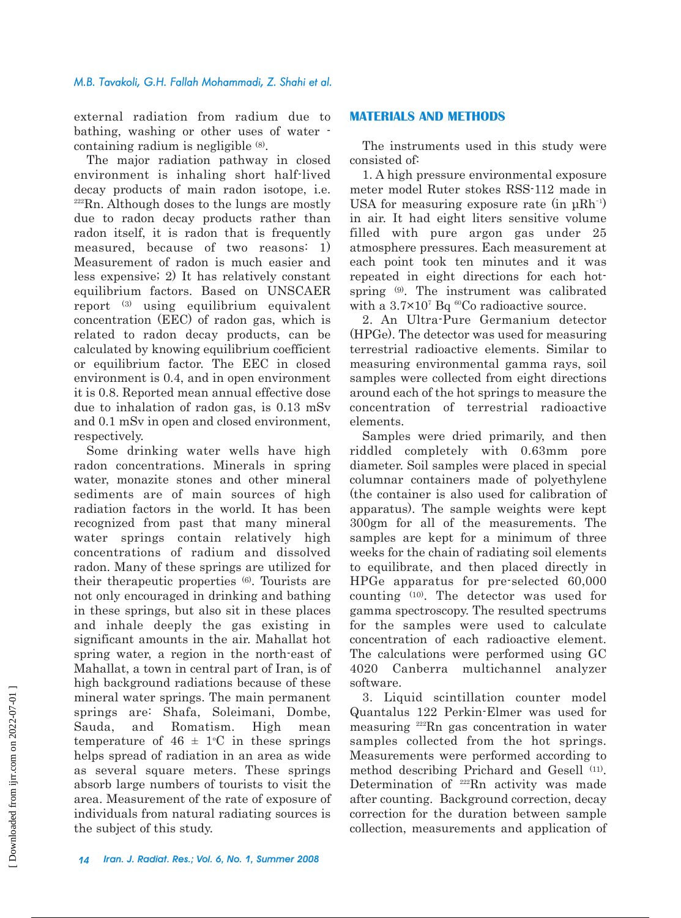### *M.B. Tavakoli, G.H. Fallah Mohammadi, Z. Shahi et al.*

external radiation from radium due to bathing, washing or other uses of water containing radium is negligible (8).

The major radiation pathway in closed environment is inhaling short half-lived decay products of main radon isotope, i.e.  $222$ Rn. Although doses to the lungs are mostly due to radon decay products rather than radon itself, it is radon that is frequently measured, because of two reasons: 1) Measurement of radon is much easier and less expensive; 2) It has relatively constant equilibrium factors. Based on UNSCAER report (3) using equilibrium equivalent concentration (EEC) of radon gas, which is related to radon decay products, can be calculated by knowing equilibrium coefficient or equilibrium factor. The EEC in closed environment is 0.4, and in open environment it is 0.8. Reported mean annual effective dose due to inhalation of radon gas, is 0.13 mSv and 0.1 mSv in open and closed environment, respectively.

Some drinking water wells have high radon concentrations. Minerals in spring water, monazite stones and other mineral sediments are of main sources of high radiation factors in the world. It has been recognized from past that many mineral water springs contain relatively high concentrations of radium and dissolved radon. Many of these springs are utilized for their therapeutic properties (6). Tourists are not only encouraged in drinking and bathing in these springs, but also sit in these places and inhale deeply the gas existing in significant amounts in the air. Mahallat hot spring water, a region in the north-east of Mahallat, a town in central part of Iran, is of high background radiations because of these mineral water springs. The main permanent springs are: Shafa, Soleimani, Dombe, Sauda, and Romatism. High mean temperature of  $46 \pm 1$ °C in these springs helps spread of radiation in an area as wide as several square meters. These springs absorb large numbers of tourists to visit the area. Measurement of the rate of exposure of individuals from natural radiating sources is the subject of this study.

# **MATERIALS AND METHODS**

The instruments used in this study were consisted of:

1. A high pressure environmental exposure meter model Ruter stokes RSS-112 made in USA for measuring exposure rate (in  $\mu$ Rh<sup>-1</sup>) in air. It had eight liters sensitive volume filled with pure argon gas under 25 atmosphere pressures. Each measurement at each point took ten minutes and it was repeated in eight directions for each hotspring (9). The instrument was calibrated with a  $3.7\times10^{7}$  Bq <sup>60</sup>Co radioactive source.

2. An Ultra-Pure Germanium detector (HPGe). The detector was used for measuring terrestrial radioactive elements. Similar to measuring environmental gamma rays, soil samples were collected from eight directions around each of the hot springs to measure the concentration of terrestrial radioactive elements.

Samples were dried primarily, and then riddled completely with 0.63mm pore diameter. Soil samples were placed in special columnar containers made of polyethylene (the container is also used for calibration of apparatus). The sample weights were kept 300gm for all of the measurements. The samples are kept for a minimum of three weeks for the chain of radiating soil elements to equilibrate, and then placed directly in HPGe apparatus for pre-selected 60,000 counting (10). The detector was used for gamma spectroscopy. The resulted spectrums for the samples were used to calculate concentration of each radioactive element. The calculations were performed using GC 4020 Canberra multichannel analyzer software.

3. Liquid scintillation counter model Quantalus 122 Perkin-Elmer was used for measuring 222Rn gas concentration in water samples collected from the hot springs. Measurements were performed according to method describing Prichard and Gesell (11). Determination of 222Rn activity was made after counting. Background correction, decay correction for the duration between sample collection, measurements and application of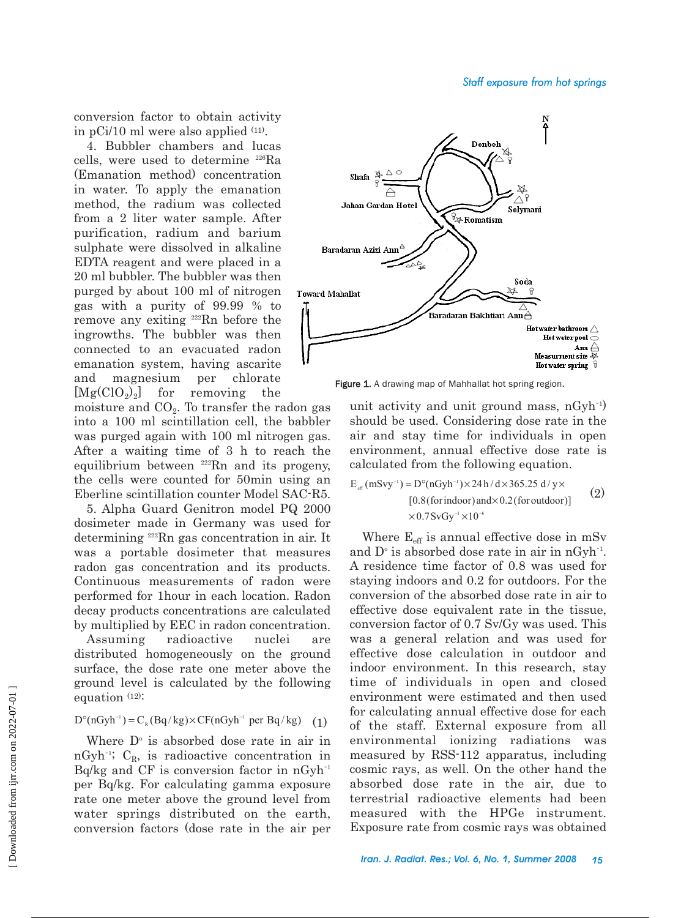conversion factor to obtain activity in  $pCi/10$  ml were also applied  $(11)$ .

4. Bubbler chambers and lucas cells, were used to determine 226Ra (Emanation method) concentration in water. To apply the emanation method, the radium was collected from a 2 liter water sample. After purification, radium and barium sulphate were dissolved in alkaline EDTA reagent and were placed in a 20 ml bubbler. The bubbler was then purged by about 100 ml of nitrogen gas with a purity of 99.99 % to remove any exiting 222Rn before the ingrowths. The bubbler was then connected to an evacuated radon emanation system, having ascarite and magnesium per chlorate  $[Mg(CIO<sub>2</sub>)<sub>2</sub>]$  for removing the

moisture and  $CO<sub>2</sub>$ . To transfer the radon gas into a 100 ml scintillation cell, the babbler was purged again with 100 ml nitrogen gas. After a waiting time of 3 h to reach the equilibrium between <sup>222</sup>Rn and its progeny, the cells were counted for 50min using an Eberline scintillation counter Model SAC-R5.

5. Alpha Guard Genitron model PQ 2000 dosimeter made in Germany was used for determining 222Rn gas concentration in air. It was a portable dosimeter that measures radon gas concentration and its products. Continuous measurements of radon were performed for 1hour in each location. Radon decay products concentrations are calculated by multiplied by EEC in radon concentration.

Assuming radioactive nuclei are distributed homogeneously on the ground surface, the dose rate one meter above the ground level is calculated by the following equation (12):

# $D^{\circ}(nGyh^{-1}) = C_R(Bq/kg) \times CF(nGyh^{-1} \text{ per } Bq/kg)$  (1)

Where  $D^{\circ}$  is absorbed dose rate in air in  $nGyh^{-1}$ ; C<sub>R</sub>, is radioactive concentration in  $Bq/kg$  and CF is conversion factor in  $nGyh^{-1}$ per Bq/kg. For calculating gamma exposure rate one meter above the ground level from water springs distributed on the earth, conversion factors (dose rate in the air per



Figure 1. A drawing map of Mahhallat hot spring region.

unit activity and unit ground mass, nGyh-1 ) should be used. Considering dose rate in the air and stay time for individuals in open environment, annual effective dose rate is calculated from the following equation.

$$
E_{\text{eff}}(\text{mSvy}^{-1}) = D^{\circ}(\text{nGyh}^{-1}) \times 24 \text{ h}/d \times 365.25 \text{ d}/y \times
$$
  
[0.8 (for indoor) and×0.2 (for outdoor)]  
×0.7 SvGy<sup>-1</sup>×10<sup>-6</sup> (2)

Where  $E_{\text{eff}}$  is annual effective dose in mSv and  $D^{\circ}$  is absorbed dose rate in air in nGyh<sup>-1</sup>. A residence time factor of 0.8 was used for staying indoors and 0.2 for outdoors. For the conversion of the absorbed dose rate in air to effective dose equivalent rate in the tissue, conversion factor of 0.7 Sv/Gy was used. This was a general relation and was used for effective dose calculation in outdoor and indoor environment. In this research, stay time of individuals in open and closed environment were estimated and then used for calculating annual effective dose for each of the staff. External exposure from all environmental ionizing radiations was measured by RSS-112 apparatus, including cosmic rays, as well. On the other hand the absorbed dose rate in the air, due to terrestrial radioactive elements had been measured with the HPGe instrument. Exposure rate from cosmic rays was obtained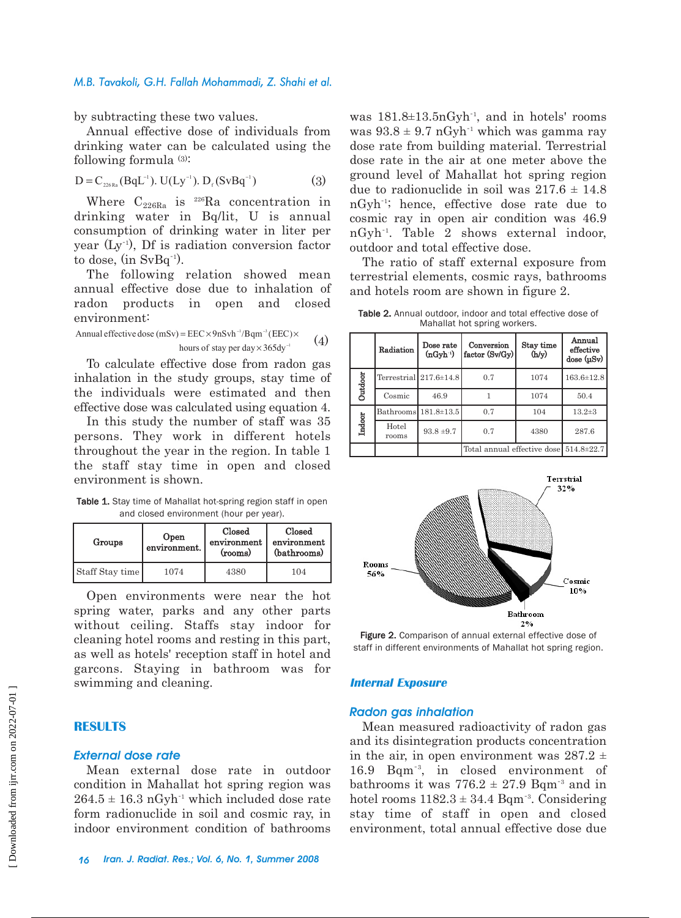#### *M.B. Tavakoli, G.H. Fallah Mohammadi, Z. Shahi et al.*

by subtracting these two values.

Annual effective dose of individuals from drinking water can be calculated using the following formula (3):

$$
D = C_{_{226Ra}}(BqL^{-1}). U(Ly^{-1}). D_{f}(SvBq^{-1})
$$
 (3)

Where  $C_{226Ra}$  is <sup>226</sup>Ra concentration in drinking water in Bq/lit, U is annual consumption of drinking water in liter per year (Ly-1 ), Df is radiation conversion factor to dose, (in SvBq<sup>-1</sup>).

The following relation showed mean annual effective dose due to inhalation of radon products in open and closed environment:

(4) 1 1 3 hours of stay per day dy Annual effective dose (mSv) EEC nSvh qm C − − × 365 = × 9 /Β (ΕΕ )×

To calculate effective dose from radon gas inhalation in the study groups, stay time of the individuals were estimated and then effective dose was calculated using equation 4.

In this study the number of staff was 35 persons. They work in different hotels throughout the year in the region. In table 1 the staff stay time in open and closed environment is shown.

Table 1. Stay time of Mahallat hot-spring region staff in open and closed environment (hour per year).

| Groups          | Open<br>environment. | Closed<br>environment<br>(rooms) | Closed<br>environment<br>(bathrooms) |  |
|-----------------|----------------------|----------------------------------|--------------------------------------|--|
| Staff Stay time | 1074                 | 4380                             | 104                                  |  |

Open environments were near the hot spring water, parks and any other parts without ceiling. Staffs stay indoor for cleaning hotel rooms and resting in this part, as well as hotels' reception staff in hotel and garcons. Staying in bathroom was for swimming and cleaning.

#### **RESULTS**

### *External dose rate*

Mean external dose rate in outdoor condition in Mahallat hot spring region was  $264.5 \pm 16.3$  nGyh<sup>-1</sup> which included dose rate form radionuclide in soil and cosmic ray, in indoor environment condition of bathrooms

was 181.8±13.5nGyh-1 , and in hotels' rooms was  $93.8 \pm 9.7$  nGyh<sup>-1</sup> which was gamma ray dose rate from building material. Terrestrial dose rate in the air at one meter above the ground level of Mahallat hot spring region due to radionuclide in soil was  $217.6 \pm 14.8$ nGyh-1 ; hence, effective dose rate due to cosmic ray in open air condition was 46.9 nGyh-1 . Table 2 shows external indoor, outdoor and total effective dose.

The ratio of staff external exposure from terrestrial elements, cosmic rays, bathrooms and hotels room are shown in figure 2.

Table 2. Annual outdoor, indoor and total effective dose of Mahallat hot spring workers.

|         | Radiation      | Dose rate<br>$(nGyh-1)$      | Conversion<br>factor (Sv/Gy)                 | Stay time<br>$(\mathbb{P}^{\mathbb{A}})$ | Annual<br>effective<br>dose (µSv) |
|---------|----------------|------------------------------|----------------------------------------------|------------------------------------------|-----------------------------------|
| Outdoor |                | Terrestrial $217.6 \pm 14.8$ | 0.7                                          | 1074                                     | $163.6 \pm 12.8$                  |
|         | Cosmic         | 46.9                         |                                              | 1074                                     | 50.4                              |
| Indoor  |                | Bathrooms 181.8±13.5         | 0.7                                          | 104                                      | $13.2 \pm 3$                      |
|         | Hotel<br>rooms | $93.8 + 9.7$                 | 0.7                                          | 4380                                     | 287.6                             |
|         |                |                              | Total annual effective dose $514.8 \pm 22.7$ |                                          |                                   |



Figure 2. Comparison of annual external effective dose of staff in different environments of Mahallat hot spring region.

#### **Internal Exposure**

#### *Radon gas inhalation*

Mean measured radioactivity of radon gas and its disintegration products concentration in the air, in open environment was  $287.2 \pm$ 16.9 Bqm-3 , in closed environment of bathrooms it was  $776.2 \pm 27.9$  Bqm<sup>-3</sup> and in hotel rooms  $1182.3 \pm 34.4$  Bqm<sup>-3</sup>. Considering stay time of staff in open and closed environment, total annual effective dose due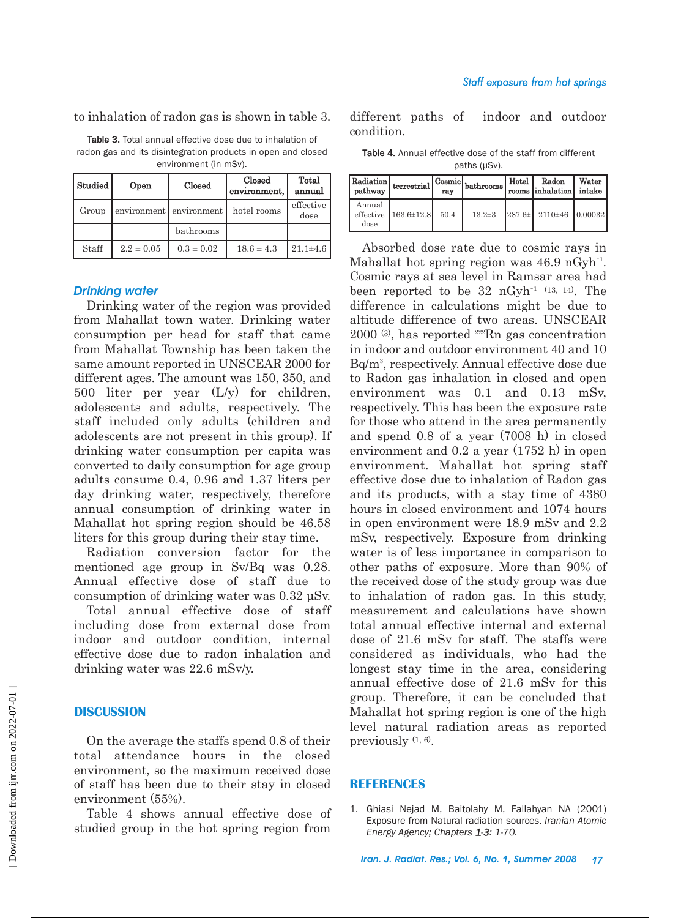to inhalation of radon gas is shown in table 3.

Table 3. Total annual effective dose due to inhalation of radon gas and its disintegration products in open and closed environment (in mSv).

| Studied | Open           | Closed                  | Closed<br>environment, | Total<br>annual   |  |
|---------|----------------|-------------------------|------------------------|-------------------|--|
| Group   |                | environment environment | hotel rooms            | effective<br>dose |  |
|         |                | bathrooms               |                        |                   |  |
| Staff   | $2.2 \pm 0.05$ | $0.3 \pm 0.02$          | $18.6 \pm 4.3$         | $21.1\pm4.6$      |  |

# *Drinking water*

Drinking water of the region was provided from Mahallat town water. Drinking water consumption per head for staff that came from Mahallat Township has been taken the same amount reported in UNSCEAR 2000 for different ages. The amount was 150, 350, and 500 liter per year  $(L/y)$  for children, adolescents and adults, respectively. The staff included only adults (children and adolescents are not present in this group). If drinking water consumption per capita was converted to daily consumption for age group adults consume 0.4, 0.96 and 1.37 liters per day drinking water, respectively, therefore annual consumption of drinking water in Mahallat hot spring region should be 46.58 liters for this group during their stay time.

Radiation conversion factor for the mentioned age group in Sv/Bq was 0.28. Annual effective dose of staff due to consumption of drinking water was 0.32 µSv.

Total annual effective dose of staff including dose from external dose from indoor and outdoor condition, internal effective dose due to radon inhalation and drinking water was 22.6 mSv/y.

# **DISCUSSION**

On the average the staffs spend 0.8 of their total attendance hours in the closed environment, so the maximum received dose of staff has been due to their stay in closed environment (55%).

Table 4 shows annual effective dose of studied group in the hot spring region from

different paths of indoor and outdoor condition.

Table 4. Annual effective dose of the staff from different paths (µSv).

| Radiation<br>pathway        | terrestrial      | rav  | 1   Cosmic   bathrooms   ' | Hotel | Radon<br>rooms inhalation       | Water<br>intake |
|-----------------------------|------------------|------|----------------------------|-------|---------------------------------|-----------------|
| Annual<br>effective<br>dose | $163.6 \pm 12.8$ | 50.4 | $13.2 \pm 3$               |       | $287.6 \pm 2110 \pm 46$ 0.00032 |                 |

Absorbed dose rate due to cosmic rays in Mahallat hot spring region was 46.9 nGyh<sup>-1</sup>. Cosmic rays at sea level in Ramsar area had been reported to be  $32 \text{ nGyh}^{-1}$  (13, 14). The difference in calculations might be due to altitude difference of two areas. UNSCEAR 2000 (3), has reported 222Rn gas concentration in indoor and outdoor environment 40 and 10 Bq/m3 , respectively. Annual effective dose due to Radon gas inhalation in closed and open environment was 0.1 and 0.13 mSv, respectively. This has been the exposure rate for those who attend in the area permanently and spend 0.8 of a year (7008 h) in closed environment and 0.2 a year (1752 h) in open environment. Mahallat hot spring staff effective dose due to inhalation of Radon gas and its products, with a stay time of 4380 hours in closed environment and 1074 hours in open environment were 18.9 mSv and 2.2 mSv, respectively. Exposure from drinking water is of less importance in comparison to other paths of exposure. More than 90% of the received dose of the study group was due to inhalation of radon gas. In this study, measurement and calculations have shown total annual effective internal and external dose of 21.6 mSv for staff. The staffs were considered as individuals, who had the longest stay time in the area, considering annual effective dose of 21.6 mSv for this group. Therefore, it can be concluded that Mahallat hot spring region is one of the high level natural radiation areas as reported previously (1, 6).

#### **REFERENCES**

1. Ghiasi Nejad M, Baitolahy M, Fallahyan NA (2001) Exposure from Natural radiation sources. *Iranian Atomic Energy Agency; Chapters 1-3: 1-70.*